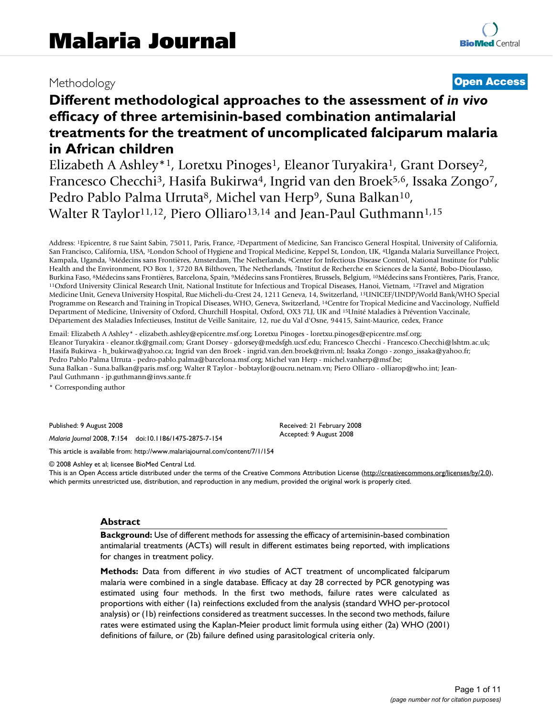# Methodology **Open Access**

# **Different methodological approaches to the assessment of** *in vivo*  **efficacy of three artemisinin-based combination antimalarial treatments for the treatment of uncomplicated falciparum malaria in African children**

Elizabeth A Ashley<sup>\*1</sup>, Loretxu Pinoges<sup>1</sup>, Eleanor Turyakira<sup>1</sup>, Grant Dorsey<sup>2</sup>, Francesco Checchi3, Hasifa Bukirwa4, Ingrid van den Broek5,6, Issaka Zongo7, Pedro Pablo Palma Urruta<sup>8</sup>, Michel van Herp<sup>9</sup>, Suna Balkan<sup>10</sup>, Walter R Taylor<sup>11,12</sup>, Piero Olliaro<sup>13,14</sup> and Jean-Paul Guthmann<sup>1,15</sup>

Address: 1Epicentre, 8 rue Saint Sabin, 75011, Paris, France, 2Department of Medicine, San Francisco General Hospital, University of California, San Francisco, California, USA, 3London School of Hygiene and Tropical Medicine, Keppel St, London, UK, 4Uganda Malaria Surveillance Project, Kampala, Uganda, 5Médecins sans Frontières, Amsterdam, The Netherlands, 6Center for Infectious Disease Control, National Institute for Public Health and the Environment, PO Box 1, 3720 BA Bilthoven, The Netherlands, 7Institut de Recherche en Sciences de la Santé, Bobo-Dioulasso, Burkina Faso, <sup>8</sup>Médecins sans Frontières, Barcelona, Spain, <sup>9</sup>Médecins sans Frontières, Brussels, Belgium, <sup>10</sup>Médecins sans Frontières, Paris, France, <sup>11</sup>Oxford University Clinical Research Unit, National Institute for Medicine Unit, Geneva University Hospital, Rue Micheli-du-Crest 24, 1211 Geneva, 14, Switzerland, 13UNICEF/UNDP/World Bank/WHO Special Programme on Research and Training in Tropical Diseases, WHO, Geneva, Switzerland, 14Centre for Tropical Medicine and Vaccinology, Nuffield Department of Medicine, University of Oxford, Churchill Hospital, Oxford, OX3 7LJ, UK and 15Unité Maladies à Prévention Vaccinale, Département des Maladies Infectieuses, Institut de Veille Sanitaire, 12, rue du Val d'Osne, 94415, Saint-Maurice, cedex, France

Email: Elizabeth A Ashley\* - elizabeth.ashley@epicentre.msf.org; Loretxu Pinoges - loretxu.pinoges@epicentre.msf.org; Eleanor Turyakira - eleanor.tk@gmail.com; Grant Dorsey - gdorsey@medsfgh.ucsf.edu; Francesco Checchi - Francesco.Checchi@lshtm.ac.uk; Hasifa Bukirwa - h\_bukirwa@yahoo.ca; Ingrid van den Broek - ingrid.van.den.broek@rivm.nl; Issaka Zongo - zongo\_issaka@yahoo.fr; Pedro Pablo Palma Urruta - pedro-pablo.palma@barcelona.msf.org; Michel van Herp - michel.vanherp@msf.be; Suna Balkan - Suna.balkan@paris.msf.org; Walter R Taylor - bobtaylor@oucru.netnam.vn; Piero Olliaro - olliarop@who.int; Jean-Paul Guthmann - jp.guthmann@invs.sante.fr

\* Corresponding author

Published: 9 August 2008

*Malaria Journal* 2008, **7**:154 doi:10.1186/1475-2875-7-154

This article is available from: http://www.malariajournal.com/content/7/1/154

© 2008 Ashley et al; licensee BioMed Central Ltd.

This is an Open Access article distributed under the terms of the Creative Commons Attribution License (http://creativecommons.org/licenses/by/2.0), which permits unrestricted use, distribution, and reproduction in any medium, provided the original work is properly cited.

Received: 21 February 2008 Accepted: 9 August 2008

#### **Abstract**

**Background:** Use of different methods for assessing the efficacy of artemisinin-based combination antimalarial treatments (ACTs) will result in different estimates being reported, with implications for changes in treatment policy.

**Methods:** Data from different *in vivo* studies of ACT treatment of uncomplicated falciparum malaria were combined in a single database. Efficacy at day 28 corrected by PCR genotyping was estimated using four methods. In the first two methods, failure rates were calculated as proportions with either (1a) reinfections excluded from the analysis (standard WHO per-protocol analysis) or (1b) reinfections considered as treatment successes. In the second two methods, failure rates were estimated using the Kaplan-Meier product limit formula using either (2a) WHO (2001) definitions of failure, or (2b) failure defined using parasitological criteria only.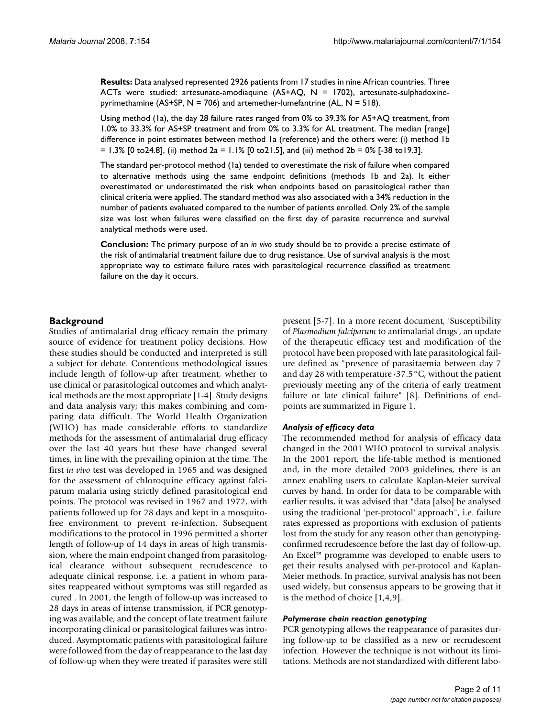**Results:** Data analysed represented 2926 patients from 17 studies in nine African countries. Three ACTs were studied: artesunate-amodiaquine (AS+AQ, N = 1702), artesunate-sulphadoxinepyrimethamine (AS+SP,  $N = 706$ ) and artemether-lumefantrine (AL,  $N = 518$ ).

Using method (1a), the day 28 failure rates ranged from 0% to 39.3% for AS+AQ treatment, from 1.0% to 33.3% for AS+SP treatment and from 0% to 3.3% for AL treatment. The median [range] difference in point estimates between method 1a (reference) and the others were: (i) method 1b  $= 1.3\%$  [0 to24.8], (ii) method 2a = 1.1% [0 to21.5], and (iii) method 2b = 0% [-38 to19.3].

The standard per-protocol method (1a) tended to overestimate the risk of failure when compared to alternative methods using the same endpoint definitions (methods 1b and 2a). It either overestimated or underestimated the risk when endpoints based on parasitological rather than clinical criteria were applied. The standard method was also associated with a 34% reduction in the number of patients evaluated compared to the number of patients enrolled. Only 2% of the sample size was lost when failures were classified on the first day of parasite recurrence and survival analytical methods were used.

**Conclusion:** The primary purpose of an *in vivo* study should be to provide a precise estimate of the risk of antimalarial treatment failure due to drug resistance. Use of survival analysis is the most appropriate way to estimate failure rates with parasitological recurrence classified as treatment failure on the day it occurs.

# **Background**

Studies of antimalarial drug efficacy remain the primary source of evidence for treatment policy decisions. How these studies should be conducted and interpreted is still a subject for debate. Contentious methodological issues include length of follow-up after treatment, whether to use clinical or parasitological outcomes and which analytical methods are the most appropriate [1-4]. Study designs and data analysis vary; this makes combining and comparing data difficult. The World Health Organization (WHO) has made considerable efforts to standardize methods for the assessment of antimalarial drug efficacy over the last 40 years but these have changed several times, in line with the prevailing opinion at the time. The first *in vivo* test was developed in 1965 and was designed for the assessment of chloroquine efficacy against falciparum malaria using strictly defined parasitological end points. The protocol was revised in 1967 and 1972, with patients followed up for 28 days and kept in a mosquitofree environment to prevent re-infection. Subsequent modifications to the protocol in 1996 permitted a shorter length of follow-up of 14 days in areas of high transmission, where the main endpoint changed from parasitological clearance without subsequent recrudescence to adequate clinical response, i.e. a patient in whom parasites reappeared without symptoms was still regarded as 'cured'. In 2001, the length of follow-up was increased to 28 days in areas of intense transmission, if PCR genotyping was available, and the concept of late treatment failure incorporating clinical or parasitological failures was introduced. Asymptomatic patients with parasitological failure were followed from the day of reappearance to the last day of follow-up when they were treated if parasites were still

present [5-7]. In a more recent document, 'Susceptibility of *Plasmodium falciparum* to antimalarial drugs', an update of the therapeutic efficacy test and modification of the protocol have been proposed with late parasitological failure defined as "presence of parasitaemia between day 7 and day 28 with temperature ‹37.5°C, without the patient previously meeting any of the criteria of early treatment failure or late clinical failure" [8]. Definitions of endpoints are summarized in Figure 1.

# *Analysis of efficacy data*

The recommended method for analysis of efficacy data changed in the 2001 WHO protocol to survival analysis. In the 2001 report, the life-table method is mentioned and, in the more detailed 2003 guidelines, there is an annex enabling users to calculate Kaplan-Meier survival curves by hand. In order for data to be comparable with earlier results, it was advised that "data [also] be analysed using the traditional 'per-protocol' approach", i.e. failure rates expressed as proportions with exclusion of patients lost from the study for any reason other than genotypingconfirmed recrudescence before the last day of follow-up. An Excel™ programme was developed to enable users to get their results analysed with per-protocol and Kaplan-Meier methods. In practice, survival analysis has not been used widely, but consensus appears to be growing that it is the method of choice [1,4,9].

#### *Polymerase chain reaction genotyping*

PCR genotyping allows the reappearance of parasites during follow-up to be classified as a new or recrudescent infection. However the technique is not without its limitations. Methods are not standardized with different labo-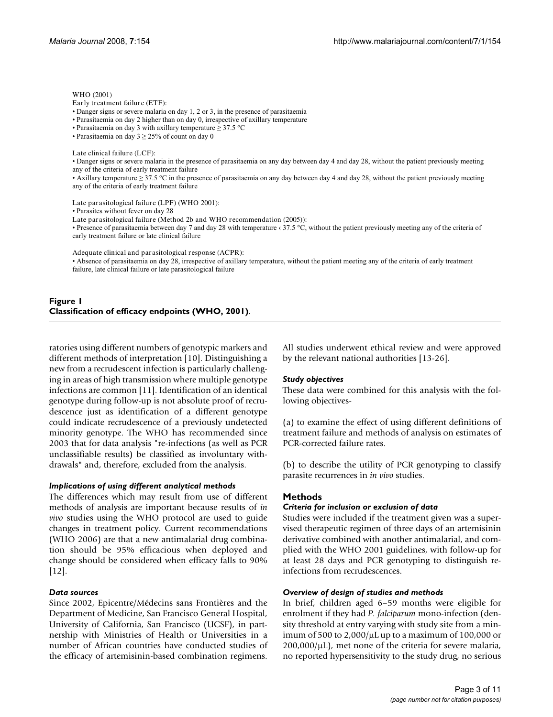#### WHO (2001)

Early treatment failure (ETF):

• Danger signs or severe malaria on day 1, 2 or 3, in the presence of parasitaemia

• Parasitaemia on day 2 higher than on day 0, irrespective of axillary temperature

- Parasitaemia on day 3 with axillary temperature  $\geq 37.5$  °C
- Parasitaemia on day  $3 \ge 25\%$  of count on day 0

Late clinical failure (LCF):

• Danger signs or severe malaria in the presence of parasitaemia on any day between day 4 and day 28, without the patient previously meeting any of the criteria of early treatment failure

• Axillary temperature  $\geq$  37.5 °C in the presence of parasitaemia on any day between day 4 and day 28, without the patient previously meeting any of the criteria of early treatment failure

Late parasitological failure (LPF) (WHO 2001):

• Parasites without fever on day 28

Late parasitological failure (Method 2b and WHO recommendation (2005)):

• Presence of parasitaemia between day 7 and day 28 with temperature  $\langle 37.5 \degree C$ , without the patient previously meeting any of the criteria of early treatment failure or late clinical failure

Adequate clinical and parasitological response (ACPR):

• Absence of parasitaemia on day 28, irrespective of axillary temperature, without the patient meeting any of the criteria of early treatment failure, late clinical failure or late parasitological failure

Figure 1 **Classification of efficacy endpoints (WHO, 2001)**.

ratories using different numbers of genotypic markers and different methods of interpretation [10]. Distinguishing a new from a recrudescent infection is particularly challenging in areas of high transmission where multiple genotype infections are common [11]. Identification of an identical genotype during follow-up is not absolute proof of recrudescence just as identification of a different genotype could indicate recrudescence of a previously undetected minority genotype. The WHO has recommended since 2003 that for data analysis "re-infections (as well as PCR unclassifiable results) be classified as involuntary withdrawals" and, therefore, excluded from the analysis.

#### *Implications of using different analytical methods*

The differences which may result from use of different methods of analysis are important because results of *in vivo* studies using the WHO protocol are used to guide changes in treatment policy. Current recommendations (WHO 2006) are that a new antimalarial drug combination should be 95% efficacious when deployed and change should be considered when efficacy falls to 90% [12].

#### *Data sources*

Since 2002, Epicentre/Médecins sans Frontières and the Department of Medicine, San Francisco General Hospital, University of California, San Francisco (UCSF), in partnership with Ministries of Health or Universities in a number of African countries have conducted studies of the efficacy of artemisinin-based combination regimens.

All studies underwent ethical review and were approved by the relevant national authorities [13-26].

#### *Study objectives*

These data were combined for this analysis with the following objectives-

(a) to examine the effect of using different definitions of treatment failure and methods of analysis on estimates of PCR-corrected failure rates.

(b) to describe the utility of PCR genotyping to classify parasite recurrences in *in vivo* studies.

#### **Methods**

#### *Criteria for inclusion or exclusion of data*

Studies were included if the treatment given was a supervised therapeutic regimen of three days of an artemisinin derivative combined with another antimalarial, and complied with the WHO 2001 guidelines, with follow-up for at least 28 days and PCR genotyping to distinguish reinfections from recrudescences.

#### *Overview of design of studies and methods*

In brief, children aged 6–59 months were eligible for enrolment if they had *P. falciparum* mono-infection (density threshold at entry varying with study site from a minimum of 500 to  $2,000/\mu L$  up to a maximum of 100,000 or  $200,000/\mu L$ , met none of the criteria for severe malaria, no reported hypersensitivity to the study drug, no serious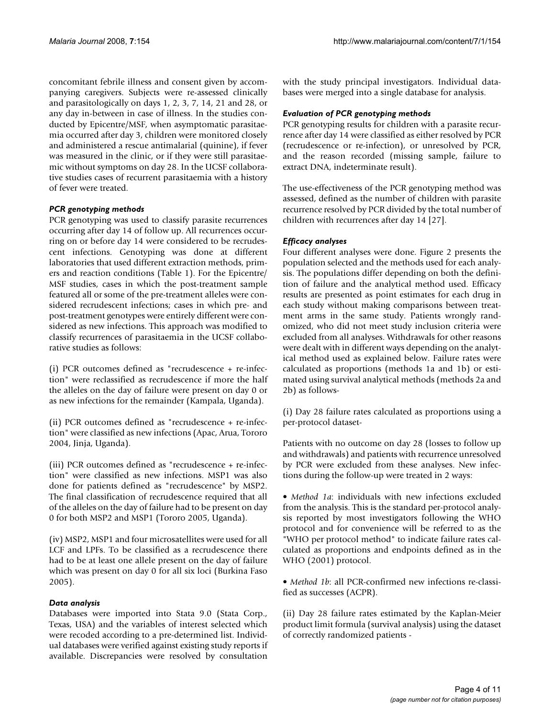concomitant febrile illness and consent given by accompanying caregivers. Subjects were re-assessed clinically and parasitologically on days 1, 2, 3, 7, 14, 21 and 28, or any day in-between in case of illness. In the studies conducted by Epicentre/MSF, when asymptomatic parasitaemia occurred after day 3, children were monitored closely and administered a rescue antimalarial (quinine), if fever was measured in the clinic, or if they were still parasitaemic without symptoms on day 28. In the UCSF collaborative studies cases of recurrent parasitaemia with a history of fever were treated.

# *PCR genotyping methods*

PCR genotyping was used to classify parasite recurrences occurring after day 14 of follow up. All recurrences occurring on or before day 14 were considered to be recrudescent infections. Genotyping was done at different laboratories that used different extraction methods, primers and reaction conditions (Table 1). For the Epicentre/ MSF studies, cases in which the post-treatment sample featured all or some of the pre-treatment alleles were considered recrudescent infections; cases in which pre- and post-treatment genotypes were entirely different were considered as new infections. This approach was modified to classify recurrences of parasitaemia in the UCSF collaborative studies as follows:

(i) PCR outcomes defined as "recrudescence + re-infection" were reclassified as recrudescence if more the half the alleles on the day of failure were present on day 0 or as new infections for the remainder (Kampala, Uganda).

(ii) PCR outcomes defined as "recrudescence + re-infection" were classified as new infections (Apac, Arua, Tororo 2004, Jinja, Uganda).

(iii) PCR outcomes defined as "recrudescence + re-infection" were classified as new infections. MSP1 was also done for patients defined as "recrudescence" by MSP2. The final classification of recrudescence required that all of the alleles on the day of failure had to be present on day 0 for both MSP2 and MSP1 (Tororo 2005, Uganda).

(iv) MSP2, MSP1 and four microsatellites were used for all LCF and LPFs. To be classified as a recrudescence there had to be at least one allele present on the day of failure which was present on day 0 for all six loci (Burkina Faso 2005).

# *Data analysis*

Databases were imported into Stata 9.0 (Stata Corp., Texas, USA) and the variables of interest selected which were recoded according to a pre-determined list. Individual databases were verified against existing study reports if available. Discrepancies were resolved by consultation with the study principal investigators. Individual databases were merged into a single database for analysis.

#### *Evaluation of PCR genotyping methods*

PCR genotyping results for children with a parasite recurrence after day 14 were classified as either resolved by PCR (recrudescence or re-infection), or unresolved by PCR, and the reason recorded (missing sample, failure to extract DNA, indeterminate result).

The use-effectiveness of the PCR genotyping method was assessed, defined as the number of children with parasite recurrence resolved by PCR divided by the total number of children with recurrences after day 14 [27].

# *Efficacy analyses*

Four different analyses were done. Figure 2 presents the population selected and the methods used for each analysis. The populations differ depending on both the definition of failure and the analytical method used. Efficacy results are presented as point estimates for each drug in each study without making comparisons between treatment arms in the same study. Patients wrongly randomized, who did not meet study inclusion criteria were excluded from all analyses. Withdrawals for other reasons were dealt with in different ways depending on the analytical method used as explained below. Failure rates were calculated as proportions (methods 1a and 1b) or estimated using survival analytical methods (methods 2a and 2b) as follows-

(i) Day 28 failure rates calculated as proportions using a per-protocol dataset-

Patients with no outcome on day 28 (losses to follow up and withdrawals) and patients with recurrence unresolved by PCR were excluded from these analyses. New infections during the follow-up were treated in 2 ways:

• *Method 1a*: individuals with new infections excluded from the analysis. This is the standard per-protocol analysis reported by most investigators following the WHO protocol and for convenience will be referred to as the "WHO per protocol method" to indicate failure rates calculated as proportions and endpoints defined as in the WHO (2001) protocol.

• *Method 1b*: all PCR-confirmed new infections re-classified as successes (ACPR).

(ii) Day 28 failure rates estimated by the Kaplan-Meier product limit formula (survival analysis) using the dataset of correctly randomized patients -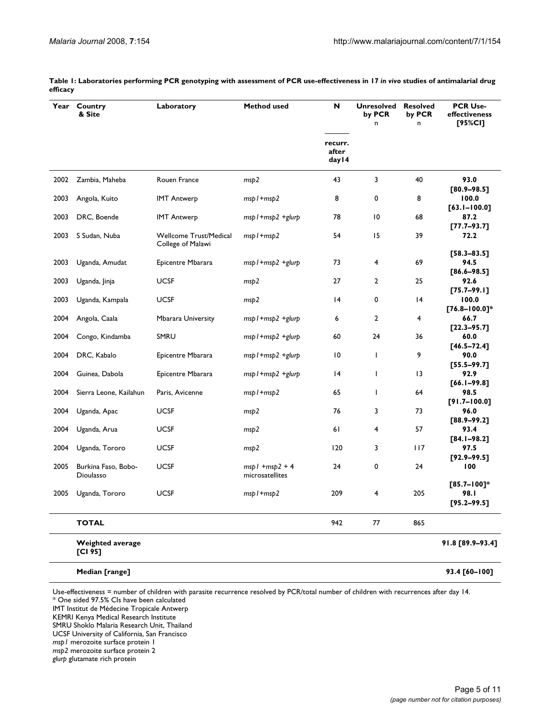| Year | Country<br>& Site          | Laboratory                                         | <b>Method used</b>    | N                           | <b>Unresolved</b><br>by PCR<br>n | <b>Resolved</b><br>by PCR<br>n | <b>PCR Use-</b><br>effectiveness<br>[95%CI] |
|------|----------------------------|----------------------------------------------------|-----------------------|-----------------------------|----------------------------------|--------------------------------|---------------------------------------------|
|      |                            |                                                    |                       | recurr.<br>after<br>day   4 |                                  |                                |                                             |
| 2002 | Zambia, Maheba             | Rouen France                                       | msp2                  | 43                          | 3                                | 40                             | 93.0                                        |
| 2003 | Angola, Kuito              | <b>IMT Antwerp</b>                                 | $msp1+msp2$           | 8                           | 0                                | 8                              | $[80.9 - 98.5]$<br>100.0                    |
| 2003 | DRC, Boende                | <b>IMT Antwerp</b>                                 | $msp1 + msp2 + glurp$ | 78                          | $\overline{0}$                   | 68                             | $[63.1 - 100.0]$<br>87.2                    |
|      |                            |                                                    |                       |                             |                                  |                                | $[77.7 - 93.7]$                             |
| 2003 | S Sudan, Nuba              | <b>Wellcome Trust/Medical</b><br>College of Malawi | $msp1+msp2$           | 54                          | 15                               | 39                             | 72.2                                        |
|      |                            |                                                    |                       |                             |                                  |                                | $[58.3 - 83.5]$                             |
| 2003 | Uganda, Amudat             | Epicentre Mbarara                                  | $msp1 + msp2 + glurp$ | 73                          | 4                                | 69                             | 94.5<br>$[86.6 - 98.5]$                     |
| 2003 | Uganda, Jinja              | <b>UCSF</b>                                        | msp2                  | 27                          | $\overline{2}$                   | 25                             | 92.6                                        |
|      |                            |                                                    |                       |                             |                                  |                                | $[75.7 - 99.1]$                             |
| 2003 | Uganda, Kampala            | <b>UCSF</b>                                        | msp2                  | 4                           | 0                                | 4                              | 100.0                                       |
|      |                            |                                                    |                       |                             |                                  |                                | $[76.8 - 100.0]$ *                          |
| 2004 | Angola, Caala              | Mbarara University                                 | $msp1 + msp2 + glurp$ | 6                           | $\overline{2}$                   | 4                              | 66.7                                        |
| 2004 | Congo, Kindamba            | <b>SMRU</b>                                        | $msp1 + msp2 + glurp$ | 60                          | 24                               | 36                             | $[22.3 - 95.7]$<br>60.0                     |
|      |                            |                                                    |                       |                             |                                  |                                | $[46.5 - 72.4]$                             |
| 2004 | DRC, Kabalo                | Epicentre Mbarara                                  | $msp1 + msp2 + glurp$ | 10                          | $\mathbf{I}$                     | 9                              | 90.0                                        |
|      |                            |                                                    |                       |                             |                                  |                                | $[55.5 - 99.7]$                             |
| 2004 | Guinea, Dabola             | Epicentre Mbarara                                  | $msp1+msp2+glurp$     | 4                           | $\mathbf{I}$                     | 13                             | 92.9                                        |
|      |                            |                                                    |                       |                             |                                  |                                | $[66.1 - 99.8]$                             |
| 2004 | Sierra Leone, Kailahun     | Paris, Avicenne                                    | $msp1+msp2$           | 65                          | $\mathsf{I}$                     | 64                             | 98.5<br>$[91.7 - 100.0]$                    |
| 2004 | Uganda, Apac               | <b>UCSF</b>                                        | msp2                  | 76                          | 3                                | 73                             | 96.0                                        |
|      |                            |                                                    |                       |                             |                                  |                                | $[88.9 - 99.2]$                             |
| 2004 | Uganda, Arua               | <b>UCSF</b>                                        | msp2                  | 61                          | 4                                | 57                             | 93.4                                        |
|      |                            |                                                    |                       |                             |                                  |                                | $[84.1 - 98.2]$                             |
| 2004 | Uganda, Tororo             | <b>UCSF</b>                                        | msp2                  | 120                         | 3                                | 117                            | 97.5                                        |
| 2005 | Burkina Faso, Bobo-        | <b>UCSF</b>                                        | $mspl + msp2 + 4$     | 24                          | 0                                | 24                             | [92.9–99.5]<br>100                          |
|      | Dioulasso                  |                                                    | microsatellites       |                             |                                  |                                |                                             |
| 2005 | Uganda, Tororo             | <b>UCSF</b>                                        | $msp1+msp2$           | 209                         | 4                                | 205                            | $[85.7 - 100]$ *<br>98.I                    |
|      |                            |                                                    |                       |                             |                                  |                                | $[95.2 - 99.5]$                             |
|      | <b>TOTAL</b>               |                                                    |                       | 942                         | 77                               | 865                            |                                             |
|      | Weighted average<br>[C195] |                                                    |                       |                             |                                  |                                | 91.8 [89.9-93.4]                            |

Table 1: Laboratories performing PCR genotyping with assessment of PCR use-effectiveness in 17 *in vivo* studies of antimalarial drug **efficacy**

**Median [range] 93.4 [60–100]**

Use-effectiveness = number of children with parasite recurrence resolved by PCR/total number of children with recurrences after day 14. \* One sided 97.5% CIs have been calculated

IMT Institut de Médecine Tropicale Antwerp

KEMRI Kenya Medical Research Institute

SMRU Shoklo Malaria Research Unit, Thailand

UCSF University of California, San Francisco

*msp1* merozoite surface protein 1 *msp2* merozoite surface protein 2

*glurp* glutamate rich protein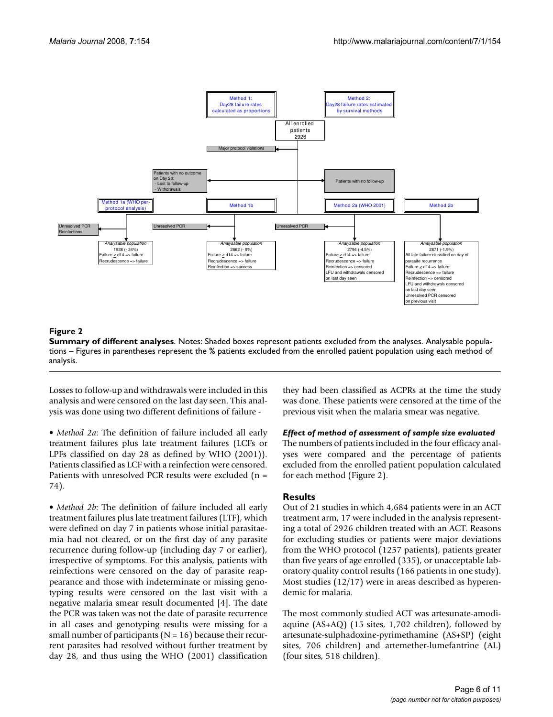

# **Figure 2**

**Summary of different analyses**. Notes: Shaded boxes represent patients excluded from the analyses. Analysable populations – Figures in parentheses represent the % patients excluded from the enrolled patient population using each method of analysis.

Losses to follow-up and withdrawals were included in this analysis and were censored on the last day seen. This analysis was done using two different definitions of failure -

• *Method 2a*: The definition of failure included all early treatment failures plus late treatment failures (LCFs or LPFs classified on day 28 as defined by WHO (2001)). Patients classified as LCF with a reinfection were censored. Patients with unresolved PCR results were excluded (n = 74).

• *Method 2b*: The definition of failure included all early treatment failures plus late treatment failures (LTF), which were defined on day 7 in patients whose initial parasitaemia had not cleared, or on the first day of any parasite recurrence during follow-up (including day 7 or earlier), irrespective of symptoms. For this analysis, patients with reinfections were censored on the day of parasite reappearance and those with indeterminate or missing genotyping results were censored on the last visit with a negative malaria smear result documented [4]. The date the PCR was taken was not the date of parasite recurrence in all cases and genotyping results were missing for a small number of participants ( $N = 16$ ) because their recurrent parasites had resolved without further treatment by day 28, and thus using the WHO (2001) classification

they had been classified as ACPRs at the time the study was done. These patients were censored at the time of the previous visit when the malaria smear was negative.

# *Effect of method of assessment of sample size evaluated*

The numbers of patients included in the four efficacy analyses were compared and the percentage of patients excluded from the enrolled patient population calculated for each method (Figure 2).

# **Results**

Out of 21 studies in which 4,684 patients were in an ACT treatment arm, 17 were included in the analysis representing a total of 2926 children treated with an ACT. Reasons for excluding studies or patients were major deviations from the WHO protocol (1257 patients), patients greater than five years of age enrolled (335), or unacceptable laboratory quality control results (166 patients in one study). Most studies (12/17) were in areas described as hyperendemic for malaria.

The most commonly studied ACT was artesunate-amodiaquine (AS+AQ) (15 sites, 1,702 children), followed by artesunate-sulphadoxine-pyrimethamine (AS+SP) (eight sites, 706 children) and artemether-lumefantrine (AL) (four sites, 518 children).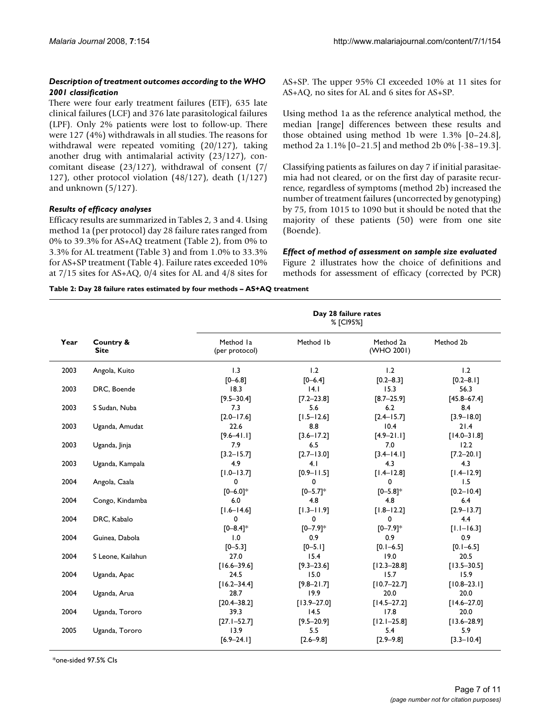#### *Description of treatment outcomes according to the WHO 2001 classification*

There were four early treatment failures (ETF), 635 late clinical failures (LCF) and 376 late parasitological failures (LPF). Only 2% patients were lost to follow-up. There were 127 (4%) withdrawals in all studies. The reasons for withdrawal were repeated vomiting (20/127), taking another drug with antimalarial activity (23/127), concomitant disease (23/127), withdrawal of consent (7/ 127), other protocol violation (48/127), death (1/127) and unknown (5/127).

# *Results of efficacy analyses*

Efficacy results are summarized in Tables 2, 3 and 4. Using method 1a (per protocol) day 28 failure rates ranged from 0% to 39.3% for AS+AQ treatment (Table 2), from 0% to 3.3% for AL treatment (Table 3) and from 1.0% to 33.3% for AS+SP treatment (Table 4). Failure rates exceeded 10% at 7/15 sites for AS+AQ, 0/4 sites for AL and 4/8 sites for AS+SP. The upper 95% CI exceeded 10% at 11 sites for AS+AQ, no sites for AL and 6 sites for AS+SP.

Using method 1a as the reference analytical method, the median [range] differences between these results and those obtained using method 1b were 1.3% [0–24.8], method 2a 1.1% [0–21.5] and method 2b 0% [-38–19.3].

Classifying patients as failures on day 7 if initial parasitaemia had not cleared, or on the first day of parasite recurrence, regardless of symptoms (method 2b) increased the number of treatment failures (uncorrected by genotyping) by 75, from 1015 to 1090 but it should be noted that the majority of these patients (50) were from one site (Boende).

# *Effect of method of assessment on sample size evaluated* Figure 2 illustrates how the choice of definitions and methods for assessment of efficacy (corrected by PCR)

**Table 2: Day 28 failure rates estimated by four methods – AS+AQ treatment**

|      | Country &<br><b>Site</b> | Day 28 failure rates<br>% [CI95%] |                 |                         |                 |
|------|--------------------------|-----------------------------------|-----------------|-------------------------|-----------------|
| Year |                          | Method la<br>(per protocol)       | Method Ib       | Method 2a<br>(WHO 2001) | Method 2b       |
| 2003 | Angola, Kuito            | 1.3                               | 1.2             | 1.2                     | 1.2             |
|      |                          | $[0 - 6.8]$                       | $[0 - 6.4]$     | $[0.2 - 8.3]$           | $[0.2 - 8.1]$   |
| 2003 | DRC, Boende              | 18.3                              | 4.1             | 15.3                    | 56.3            |
|      |                          | $[9.5 - 30.4]$                    | $[7.2 - 23.8]$  | $[8.7 - 25.9]$          | $[45.8 - 67.4]$ |
| 2003 | S Sudan, Nuba            | 7.3                               | 5.6             | 6.2                     | 8.4             |
|      |                          | $[2.0 - 17.6]$                    | $[1.5 - 12.6]$  | $[2.4 - 15.7]$          | $[3.9 - 18.0]$  |
| 2003 | Uganda, Amudat           | 22.6                              | 8.8             | 10.4                    | 21.4            |
|      |                          | $[9.6 - 41.1]$                    | $[3.6 - 17.2]$  | $[4.9 - 21.1]$          | $[14.0 - 31.8]$ |
| 2003 | Uganda, linja            | 7.9                               | 6.5             | 7.0                     | 12.2            |
|      |                          | $[3.2 - 15.7]$                    | $[2.7 - 13.0]$  | $[3.4 - 14.1]$          | $[7.2 - 20.1]$  |
| 2003 | Uganda, Kampala          | 4.9                               | 4.1             | 4.3                     | 4.3             |
|      |                          | $[1.0 - 13.7]$                    | $[0.9 - 11.5]$  | $[1.4 - 12.8]$          | $[1.4 - 12.9]$  |
| 2004 | Angola, Caala            | 0                                 | 0               | 0                       | 1.5             |
|      |                          | $[0 - 6.0]$ *                     | $[0 - 5.7]$ *   | $[0 - 5.8]$ *           | $[0.2 - 10.4]$  |
| 2004 | Congo, Kindamba          | 6.0                               | 4.8             | 4.8                     | 6.4             |
|      |                          | $[1.6 - 14.6]$                    | $[1.3 - 11.9]$  | $[1.8 - 12.2]$          | $[2.9 - 13.7]$  |
| 2004 | DRC, Kabalo              | 0                                 | 0               | 0                       | 4.4             |
|      |                          | $[0 - 8.4]$ *                     | $[0 - 7.9]$ *   | $[0 - 7.9]$ *           | $[1.1 - 16.3]$  |
| 2004 | Guinea, Dabola           | 1.0                               | 0.9             | 0.9                     | 0.9             |
|      |                          | $[0 - 5.3]$                       | $[0 - 5.1]$     | $[0.1 - 6.5]$           | $[0.1 - 6.5]$   |
| 2004 | S Leone, Kailahun        | 27.0                              | 15.4            | 19.0                    | 20.5            |
|      |                          | $[16.6 - 39.6]$                   | $[9.3 - 23.6]$  | $[12.3 - 28.8]$         | $[13.5 - 30.5]$ |
| 2004 | Uganda, Apac             | 24.5                              | 15.0            | 15.7                    | 15.9            |
|      |                          | $[16.2 - 34.4]$                   | $[9.8 - 21.7]$  | $[10.7 - 22.7]$         | $[10.8 - 23.1]$ |
| 2004 | Uganda, Arua             | 28.7                              | 19.9            | 20.0                    | 20.0            |
|      |                          | $[20.4 - 38.2]$                   | $[13.9 - 27.0]$ | $[14.5 - 27.2]$         | $[14.6 - 27.0]$ |
| 2004 | Uganda, Tororo           | 39.3                              | 14.5            | 17.8                    | 20.0            |
|      |                          | $[27.1 - 52.7]$                   | $[9.5 - 20.9]$  | $[12.1 - 25.8]$         | $[13.6 - 28.9]$ |
| 2005 | Uganda, Tororo           | 13.9                              | 5.5             | 5.4                     | 5.9             |
|      |                          | $[6.9 - 24.1]$                    | $[2.6 - 9.8]$   | $[2.9 - 9.8]$           | $[3.3 - 10.4]$  |

\*one-sided 97.5% CIs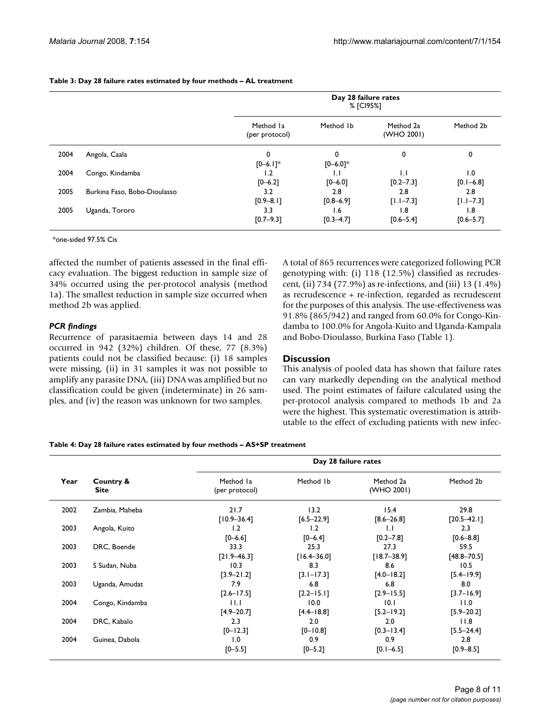|      |                              | Day 28 failure rates<br>% [CI95%]   |                                     |                                       |                                       |
|------|------------------------------|-------------------------------------|-------------------------------------|---------------------------------------|---------------------------------------|
|      |                              | Method la<br>(per protocol)         | Method Ib                           | Method 2a<br>(WHO 2001)               | Method 2b                             |
| 2004 | Angola, Caala                | 0<br>$[0 - 6.1]$ *                  | 0                                   | 0                                     | 0                                     |
| 2004 | Congo, Kindamba              | 1.2                                 | $[0 - 6.0]$ *<br>IJ                 | $\overline{1}$ .                      | 1.0                                   |
| 2005 | Burkina Faso, Bobo-Dioulasso | $[0 - 6.2]$<br>3.2<br>$[0.9 - 8.1]$ | $[0 - 6.0]$<br>2.8<br>$[0.8 - 6.9]$ | $[0.2 - 7.3]$<br>2.8<br>$[1.1 - 7.3]$ | $[0.1 - 6.8]$<br>2.8<br>$[1.1 - 7.3]$ |
| 2005 | Uganda, Tororo               | 3.3<br>$[0.7 - 9.3]$                | 1.6<br>$[0.3 - 4.7]$                | 1.8<br>$[0.6 - 5.4]$                  | 1.8<br>$[0.6 - 5.7]$                  |

#### **Table 3: Day 28 failure rates estimated by four methods – AL treatment**

\*one-sided 97.5% Cis

affected the number of patients assessed in the final efficacy evaluation. The biggest reduction in sample size of 34% occurred using the per-protocol analysis (method 1a). The smallest reduction in sample size occurred when method 2b was applied.

#### *PCR findings*

Recurrence of parasitaemia between days 14 and 28 occurred in 942 (32%) children. Of these, 77 (8.3%) patients could not be classified because: (i) 18 samples were missing, (ii) in 31 samples it was not possible to amplify any parasite DNA, (iii) DNA was amplified but no classification could be given (indeterminate) in 26 samples, and (iv) the reason was unknown for two samples.

A total of 865 recurrences were categorized following PCR genotyping with: (i) 118 (12.5%) classified as recrudescent, (ii) 734 (77.9%) as re-infections, and (iii) 13 (1.4%) as recrudescence + re-infection, regarded as recrudescent for the purposes of this analysis. The use-effectiveness was 91.8% (865/942) and ranged from 60.0% for Congo-Kindamba to 100.0% for Angola-Kuito and Uganda-Kampala and Bobo-Dioulasso, Burkina Faso (Table 1).

# **Discussion**

This analysis of pooled data has shown that failure rates can vary markedly depending on the analytical method used. The point estimates of failure calculated using the per-protocol analysis compared to methods 1b and 2a were the highest. This systematic overestimation is attributable to the effect of excluding patients with new infec-

| Table 4: Day 28 failure rates estimated by four methods - AS+SP treatment |  |  |
|---------------------------------------------------------------------------|--|--|
|---------------------------------------------------------------------------|--|--|

|      | Country &<br><b>Site</b> | Day 28 failure rates        |                                      |                 |                 |
|------|--------------------------|-----------------------------|--------------------------------------|-----------------|-----------------|
| Year |                          | Method la<br>(per protocol) | Method Ib<br>Method 2a<br>(WHO 2001) |                 | Method 2b       |
| 2002 | Zambia, Maheba           | 21.7                        | 13.2                                 | 15.4            | 29.8            |
|      |                          | $[10.9 - 36.4]$             | $[6.5 - 22.9]$                       | $[8.6 - 26.8]$  | $[20.5 - 42.1]$ |
| 2003 | Angola, Kuito            | 1.2                         | 1.2                                  | 1.1             | 2.3             |
|      |                          | $[0 - 6.6]$                 | $[0 - 6.4]$                          | $[0.2 - 7.8]$   | $[0.6 - 8.8]$   |
| 2003 | DRC, Boende              | 33.3                        | 25.3                                 | 27.3            | 59.5            |
|      |                          | $[21.9 - 46.3]$             | $[16.4 - 36.0]$                      | $[18.7 - 38.9]$ | $[48.8 - 70.5]$ |
| 2003 | S Sudan, Nuba            | 10.3                        | 8.3                                  | 8.6             | 10.5            |
|      |                          | $[3.9 - 21.2]$              | $[3.1 - 17.3]$                       | $[4.0 - 18.2]$  | $[5.4 - 19.9]$  |
| 2003 | Uganda, Amudat           | 7.9                         | 6.8                                  | 6.8             | 8.0             |
|      |                          | $[2.6 - 17.5]$              | $[2.2 - 15.1]$                       | $[2.9 - 15.5]$  | $[3.7 - 16.9]$  |
| 2004 | Congo, Kindamba          | 11.1                        | 10.0                                 | 10.1            | 11.0            |
|      |                          | $[4.9 - 20.7]$              | $[4.4 - 18.8]$                       | $[5.2 - 19.2]$  | $[5.9 - 20.2]$  |
| 2004 | DRC, Kabalo              | 2.3                         | 2.0                                  | 2.0             | 11.8            |
|      |                          | $[0 - 12.3]$                | $[0 - 10.8]$                         | $[0.3 - 13.4]$  | $[5.5 - 24.4]$  |
| 2004 | Guinea, Dabola           | 1.0                         | 0.9                                  | 0.9             | 2.8             |
|      |                          | $[0 - 5.5]$                 | $[0 - 5.2]$                          | $[0.1 - 6.5]$   | $[0.9 - 8.5]$   |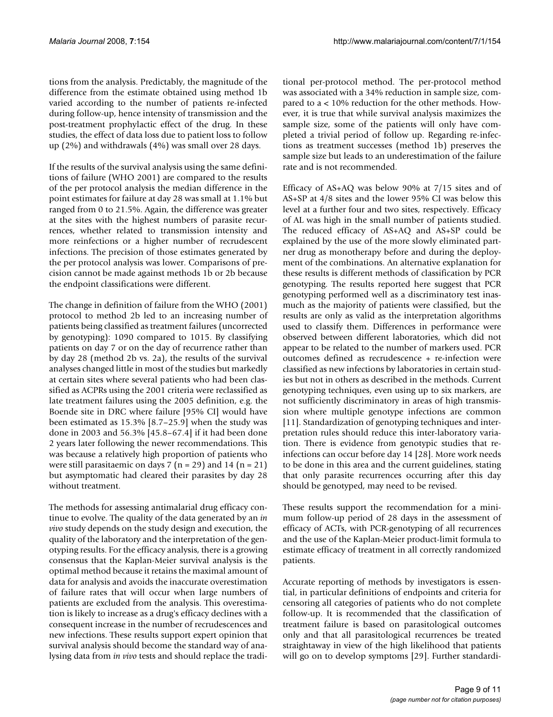tions from the analysis. Predictably, the magnitude of the difference from the estimate obtained using method 1b varied according to the number of patients re-infected during follow-up, hence intensity of transmission and the post-treatment prophylactic effect of the drug. In these studies, the effect of data loss due to patient loss to follow up (2%) and withdrawals (4%) was small over 28 days.

If the results of the survival analysis using the same definitions of failure (WHO 2001) are compared to the results of the per protocol analysis the median difference in the point estimates for failure at day 28 was small at 1.1% but ranged from 0 to 21.5%. Again, the difference was greater at the sites with the highest numbers of parasite recurrences, whether related to transmission intensity and more reinfections or a higher number of recrudescent infections. The precision of those estimates generated by the per protocol analysis was lower. Comparisons of precision cannot be made against methods 1b or 2b because the endpoint classifications were different.

The change in definition of failure from the WHO (2001) protocol to method 2b led to an increasing number of patients being classified as treatment failures (uncorrected by genotyping): 1090 compared to 1015. By classifying patients on day 7 or on the day of recurrence rather than by day 28 (method 2b vs. 2a), the results of the survival analyses changed little in most of the studies but markedly at certain sites where several patients who had been classified as ACPRs using the 2001 criteria were reclassified as late treatment failures using the 2005 definition, e.g. the Boende site in DRC where failure [95% CI] would have been estimated as 15.3% [8.7–25.9] when the study was done in 2003 and 56.3% [45.8–67.4] if it had been done 2 years later following the newer recommendations. This was because a relatively high proportion of patients who were still parasitaemic on days 7 ( $n = 29$ ) and 14 ( $n = 21$ ) but asymptomatic had cleared their parasites by day 28 without treatment.

The methods for assessing antimalarial drug efficacy continue to evolve. The quality of the data generated by an *in vivo* study depends on the study design and execution, the quality of the laboratory and the interpretation of the genotyping results. For the efficacy analysis, there is a growing consensus that the Kaplan-Meier survival analysis is the optimal method because it retains the maximal amount of data for analysis and avoids the inaccurate overestimation of failure rates that will occur when large numbers of patients are excluded from the analysis. This overestimation is likely to increase as a drug's efficacy declines with a consequent increase in the number of recrudescences and new infections. These results support expert opinion that survival analysis should become the standard way of analysing data from *in vivo* tests and should replace the traditional per-protocol method. The per-protocol method was associated with a 34% reduction in sample size, compared to a < 10% reduction for the other methods. However, it is true that while survival analysis maximizes the sample size, some of the patients will only have completed a trivial period of follow up. Regarding re-infections as treatment successes (method 1b) preserves the sample size but leads to an underestimation of the failure rate and is not recommended.

Efficacy of AS+AQ was below 90% at 7/15 sites and of AS+SP at 4/8 sites and the lower 95% CI was below this level at a further four and two sites, respectively. Efficacy of AL was high in the small number of patients studied. The reduced efficacy of AS+AQ and AS+SP could be explained by the use of the more slowly eliminated partner drug as monotherapy before and during the deployment of the combinations. An alternative explanation for these results is different methods of classification by PCR genotyping. The results reported here suggest that PCR genotyping performed well as a discriminatory test inasmuch as the majority of patients were classified, but the results are only as valid as the interpretation algorithms used to classify them. Differences in performance were observed between different laboratories, which did not appear to be related to the number of markers used. PCR outcomes defined as recrudescence + re-infection were classified as new infections by laboratories in certain studies but not in others as described in the methods. Current genotyping techniques, even using up to six markers, are not sufficiently discriminatory in areas of high transmission where multiple genotype infections are common [11]. Standardization of genotyping techniques and interpretation rules should reduce this inter-laboratory variation. There is evidence from genotypic studies that reinfections can occur before day 14 [28]. More work needs to be done in this area and the current guidelines, stating that only parasite recurrences occurring after this day should be genotyped, may need to be revised.

These results support the recommendation for a minimum follow-up period of 28 days in the assessment of efficacy of ACTs, with PCR-genotyping of all recurrences and the use of the Kaplan-Meier product-limit formula to estimate efficacy of treatment in all correctly randomized patients.

Accurate reporting of methods by investigators is essential, in particular definitions of endpoints and criteria for censoring all categories of patients who do not complete follow-up. It is recommended that the classification of treatment failure is based on parasitological outcomes only and that all parasitological recurrences be treated straightaway in view of the high likelihood that patients will go on to develop symptoms [29]. Further standardi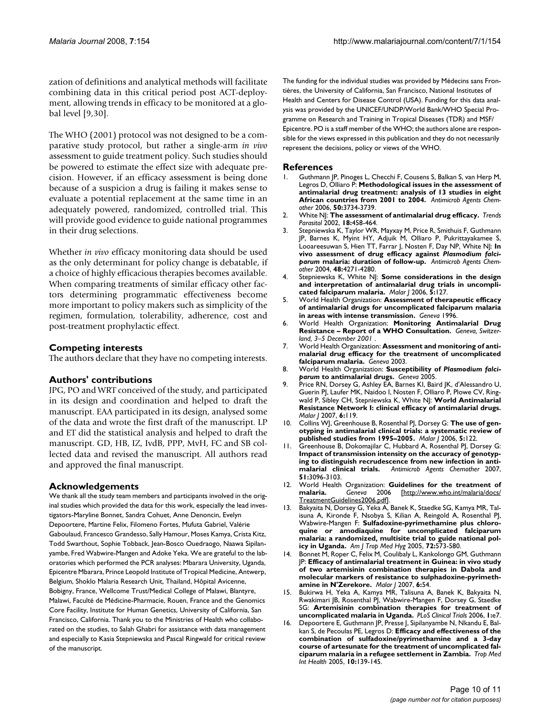zation of definitions and analytical methods will facilitate combining data in this critical period post ACT-deployment, allowing trends in efficacy to be monitored at a global level [9,30].

The WHO (2001) protocol was not designed to be a comparative study protocol, but rather a single-arm *in vivo* assessment to guide treatment policy. Such studies should be powered to estimate the effect size with adequate precision. However, if an efficacy assessment is being done because of a suspicion a drug is failing it makes sense to evaluate a potential replacement at the same time in an adequately powered, randomized, controlled trial. This will provide good evidence to guide national programmes in their drug selections.

Whether *in vivo* efficacy monitoring data should be used as the only determinant for policy change is debatable, if a choice of highly efficacious therapies becomes available. When comparing treatments of similar efficacy other factors determining programmatic effectiveness become more important to policy makers such as simplicity of the regimen, formulation, tolerability, adherence, cost and post-treatment prophylactic effect.

# **Competing interests**

The authors declare that they have no competing interests.

#### **Authors' contributions**

JPG, PO and WRT conceived of the study, and participated in its design and coordination and helped to draft the manuscript. EAA participated in its design, analysed some of the data and wrote the first draft of the manuscript. LP and ET did the statistical analysis and helped to draft the manuscript. GD, HB, IZ, IvdB, PPP, MvH, FC and SB collected data and revised the manuscript. All authors read and approved the final manuscript.

# **Acknowledgements**

We thank all the study team members and participants involved in the original studies which provided the data for this work, especially the lead investigators-Maryline Bonnet, Sandra Cohuet, Anne Denoncin, Evelyn Depoortere, Martine Felix, Filomeno Fortes, Mufuta Gabriel, Valérie Gaboulaud, Francesco Grandesso, Sally Hamour, Moses Kamya, Crista Kitz, Todd Swarthout, Sophie Tobback, Jean-Bosco Ouedraogo, Naawa Sipilanyambe, Fred Wabwire-Mangen and Adoke Yeka. We are grateful to the laboratories which performed the PCR analyses: Mbarara University, Uganda, Epicentre Mbarara, Prince Leopold Institute of Tropical Medicine, Antwerp, Belgium, Shoklo Malaria Research Unit, Thailand, Hôpital Avicenne, Bobigny, France, Wellcome Trust/Medical College of Malawi, Blantyre, Malawi, Faculté de Médicine-Pharmacie, Rouen, France and the Genomics Core Facility, Institute for Human Genetics, University of California, San Francisco, California. Thank you to the Ministries of Health who collaborated on the studies, to Salah Ghabri for assistance with data management and especially to Kasia Stepniewska and Pascal Ringwald for critical review of the manuscript.

The funding for the individual studies was provided by Médecins sans Frontières, the University of California, San Francisco, National Institutes of Health and Centers for Disease Control (USA). Funding for this data analysis was provided by the UNICEF/UNDP/World Bank/WHO Special Programme on Research and Training in Tropical Diseases (TDR) and MSF/ Epicentre. PO is a staff member of the WHO; the authors alone are responsible for the views expressed in this publication and they do not necessarily represent the decisions, policy or views of the WHO.

#### **References**

- 1. Guthmann JP, Pinoges L, Checchi F, Cousens S, Balkan S, van Herp M, Legros D, Olliaro P: **Methodological issues in the assessment of antimalarial drug treatment: analysis of 13 studies in eight African countries from 2001 to 2004.** *Antimicrob Agents Chemother* 2006, **50:**3734-3739.
- 2. White NJ: **The assessment of antimalarial drug efficacy.** *Trends Parasitol* 2002, **18:**458-464.
- 3. Stepniewska K, Taylor WR, Mayxay M, Price R, Smithuis F, Guthmann JP, Barnes K, Myint HY, Adjuik M, Olliaro P, Pukrittayakamee S, Looareesuwan S, Hien TT, Farrar J, Nosten F, Day NP, White NJ: **In vivo assessment of drug efficacy against** *Plasmodium falciparum* **malaria: duration of follow-up.** *Antimicrob Agents Chemother* 2004, **48:**4271-4280.
- 4. Stepniewska K, White NJ: **Some considerations in the design and interpretation of antimalarial drug trials in uncomplicated falciparum malaria.** *Malar J* 2006, **5:**127.
- 5. World Health Organization: **Assessment of therapeutic efficacy of antimalarial drugs for uncomplicated falciparum malaria in areas with intense transmission.** *Geneva* 1996.
- 6. World Health Organization: **Monitoring Antimalarial Drug Resistance – Report of a WHO Consultation.** *Geneva, Switzerland, 3–5 December 2001* .
- 7. World Health Organization: **Assessment and monitoring of antimalarial drug efficacy for the treatment of uncomplicated falciparum malaria.** *Geneva* 2003.
- 8. World Health Organization: **Susceptibility of** *Plasmodium falciparum* **to antimalarial drugs.** *Geneva* 2005.
- 9. Price RN, Dorsey G, Ashley EA, Barnes KI, Baird JK, d'Alessandro U, Guerin PJ, Laufer MK, Naidoo I, Nosten F, Olliaro P, Plowe CV, Ringwald P, Sibley CH, Stepniewska K, White NJ: **World Antimalarial Resistance Network I: clinical efficacy of antimalarial drugs.** *Malar J* 2007, **6:**119.
- 10. Collins WJ, Greenhouse B, Rosenthal PJ, Dorsey G: **The use of genotyping in antimalarial clinical trials: a systematic review of published studies from 1995–2005.** *Malar J* 2006, **5:**122.
- 11. Greenhouse B, Dokomajilar C, Hubbard A, Rosenthal PJ, Dorsey G: **Impact of transmission intensity on the accuracy of genotyping to distinguish recrudescence from new infection in antimalarial clinical trials.** *Antimicrob Agents Chemother* 2007, **51:**3096-3103.
- 12. World Health Organization: **Guidelines for the treatment of** [http://www.who.int/malaria/docs/ TreatmentGuidelines2006.pdf].
- 13. Bakyaita N, Dorsey G, Yeka A, Banek K, Staedke SG, Kamya MR, Talisuna A, Kironde F, Nsobya S, Kilian A, Reingold A, Rosenthal PJ, Wabwire-Mangen F: **Sulfadoxine-pyrimethamine plus chloroquine or amodiaquine for uncomplicated falciparum malaria: a randomized, multisite trial to guide national policy in Uganda.** *Am J Trop Med Hyg* 2005, **72:**573-580.
- 14. Bonnet M, Roper C, Felix M, Coulibaly L, Kankolongo GM, Guthmann JP: **Efficacy of antimalarial treatment in Guinea: in vivo study of two artemisinin combination therapies in Dabola and molecular markers of resistance to sulphadoxine-pyrimethamine in N'Zerekore.** *Malar J* 2007, **6:**54.
- 15. Bukirwa H, Yeka A, Kamya MR, Talisuna A, Banek K, Bakyaita N, Rwakimari JB, Rosenthal PJ, Wabwire-Mangen F, Dorsey G, Staedke SG: **Artemisinin combination therapies for treatment of uncomplicated malaria in Uganda.** *PLoS Clinical Trials* 2006, **1:**e7.
- 16. Depoortere E, Guthmann JP, Presse J, Sipilanyambe N, Nkandu E, Balkan S, de Pecoulas PE, Legros D: **Efficacy and effectiveness of the combination of sulfadoxine/pyrimethamine and a 3-day course of artesunate for the treatment of uncomplicated falciparum malaria in a refugee settlement in Zambia.** *Trop Med Int Health* 2005, **10:**139-145.